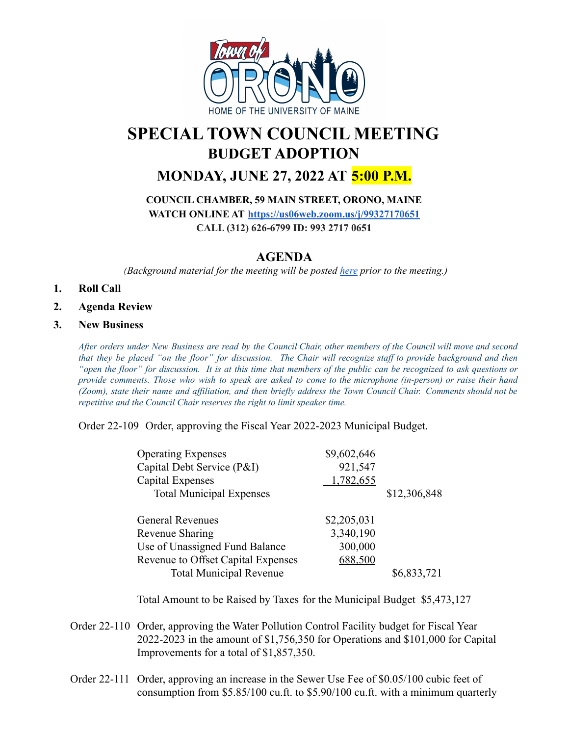

# **SPECIAL TOWN COUNCIL MEETING BUDGET ADOPTION**

## **MONDAY, JUNE 27, 2022 AT 5:00 P.M.**

#### **COUNCIL CHAMBER, 59 MAIN STREET, ORONO, MAINE**

**WATCH ONLINE AT <https://us06web.zoom.us/j/99327170651>**

**CALL (312) 626-6799 ID: 993 2717 0651**

### **AGENDA**

*(Background material for the meeting will be posted [here](https://drive.google.com/drive/u/0/folders/1tu408WeAZZx3mx4CUTW69u7mPZsHbeVB) prior to the meeting.)*

- **1. Roll Call**
- **2. Agenda Review**

#### **3. New Business**

After orders under New Business are read by the Council Chair, other members of the Council will move and second that they be placed "on the floor" for discussion. The Chair will recognize staff to provide background and then "open the floor" for discussion. It is at this time that members of the public can be recognized to ask questions or provide comments. Those who wish to speak are asked to come to the microphone (in-person) or raise their hand (Zoom), state their name and affiliation, and then briefly address the Town Council Chair. Comments should not be *repetitive and the Council Chair reserves the right to limit speaker time.*

Order 22-109 Order, approving the Fiscal Year 2022-2023 Municipal Budget.

| <b>Operating Expenses</b>          | \$9,602,646 |              |
|------------------------------------|-------------|--------------|
| Capital Debt Service (P&I)         | 921,547     |              |
| Capital Expenses                   | 1,782,655   |              |
| <b>Total Municipal Expenses</b>    |             | \$12,306,848 |
|                                    |             |              |
| <b>General Revenues</b>            | \$2,205,031 |              |
| Revenue Sharing                    | 3,340,190   |              |
| Use of Unassigned Fund Balance     | 300,000     |              |
| Revenue to Offset Capital Expenses | 688,500     |              |
| <b>Total Municipal Revenue</b>     |             | \$6,833,721  |

Total Amount to be Raised by Taxes for the Municipal Budget \$5,473,127

- Order 22-110 Order, approving the Water Pollution Control Facility budget for Fiscal Year 2022-2023 in the amount of \$1,756,350 for Operations and \$101,000 for Capital Improvements for a total of \$1,857,350.
- Order 22-111 Order, approving an increase in the Sewer Use Fee of \$0.05/100 cubic feet of consumption from \$5.85/100 cu.ft. to \$5.90/100 cu.ft. with a minimum quarterly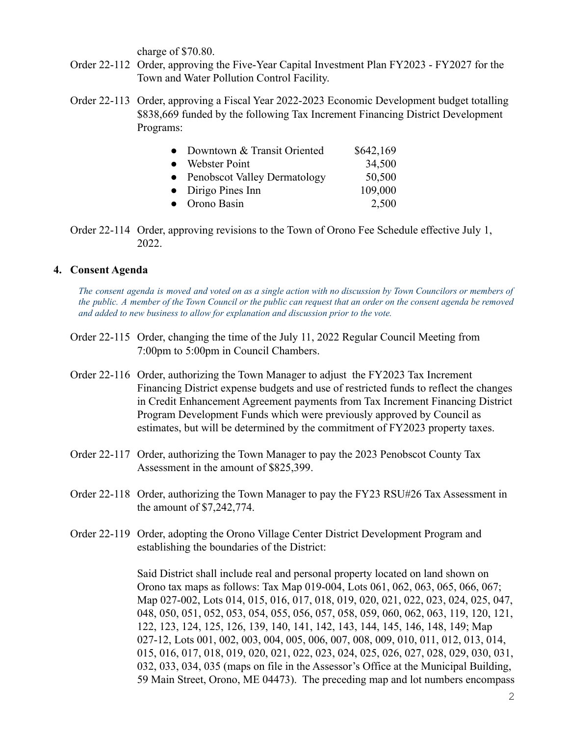charge of \$70.80.

- Order 22-112 Order, approving the Five-Year Capital Investment Plan FY2023 FY2027 for the Town and Water Pollution Control Facility.
- Order 22-113 Order, approving a Fiscal Year 2022-2023 Economic Development budget totalling \$838,669 funded by the following Tax Increment Financing District Development Programs:

| $\bullet$ | Downtown & Transit Oriented    | \$642,169 |
|-----------|--------------------------------|-----------|
|           | • Webster Point                | 34,500    |
|           | • Penobscot Valley Dermatology | 50,500    |
|           | $\bullet$ Dirigo Pines Inn     | 109,000   |
|           | • Orono Basin                  | 2,500     |

Order 22-114 Order, approving revisions to the Town of Orono Fee Schedule effective July 1, 2022.

#### **4. Consent Agenda**

The consent agenda is moved and voted on as a single action with no discussion by Town Councilors or members of the public. A member of the Town Council or the public can request that an order on the consent agenda be removed *and added to new business to allow for explanation and discussion prior to the vote.*

- Order 22-115 Order, changing the time of the July 11, 2022 Regular Council Meeting from 7:00pm to 5:00pm in Council Chambers.
- Order 22-116 Order, authorizing the Town Manager to adjust the FY2023 Tax Increment Financing District expense budgets and use of restricted funds to reflect the changes in Credit Enhancement Agreement payments from Tax Increment Financing District Program Development Funds which were previously approved by Council as estimates, but will be determined by the commitment of FY2023 property taxes.
- Order 22-117 Order, authorizing the Town Manager to pay the 2023 Penobscot County Tax Assessment in the amount of \$825,399.
- Order 22-118 Order, authorizing the Town Manager to pay the FY23 RSU#26 Tax Assessment in the amount of \$7,242,774.
- Order 22-119 Order, adopting the Orono Village Center District Development Program and establishing the boundaries of the District:

Said District shall include real and personal property located on land shown on Orono tax maps as follows: Tax Map 019-004, Lots 061, 062, 063, 065, 066, 067; Map 027-002, Lots 014, 015, 016, 017, 018, 019, 020, 021, 022, 023, 024, 025, 047, 048, 050, 051, 052, 053, 054, 055, 056, 057, 058, 059, 060, 062, 063, 119, 120, 121, 122, 123, 124, 125, 126, 139, 140, 141, 142, 143, 144, 145, 146, 148, 149; Map 027-12, Lots 001, 002, 003, 004, 005, 006, 007, 008, 009, 010, 011, 012, 013, 014, 015, 016, 017, 018, 019, 020, 021, 022, 023, 024, 025, 026, 027, 028, 029, 030, 031, 032, 033, 034, 035 (maps on file in the Assessor's Office at the Municipal Building, 59 Main Street, Orono, ME 04473). The preceding map and lot numbers encompass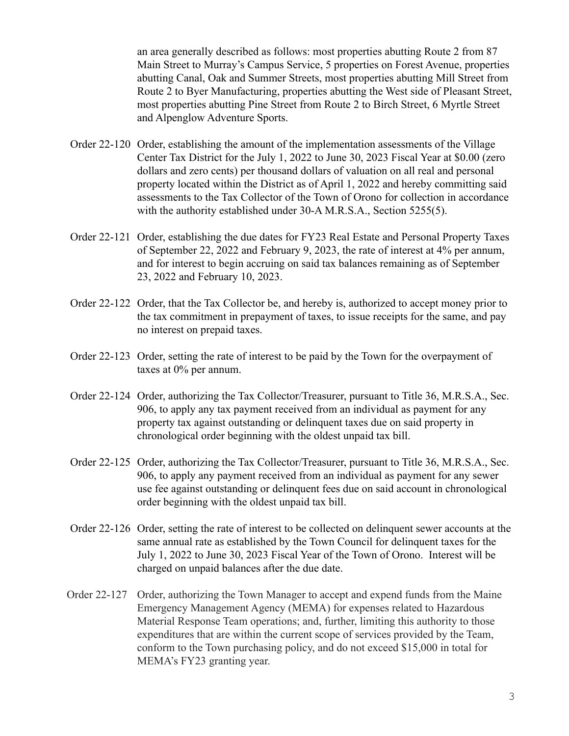an area generally described as follows: most properties abutting Route 2 from 87 Main Street to Murray's Campus Service, 5 properties on Forest Avenue, properties abutting Canal, Oak and Summer Streets, most properties abutting Mill Street from Route 2 to Byer Manufacturing, properties abutting the West side of Pleasant Street, most properties abutting Pine Street from Route 2 to Birch Street, 6 Myrtle Street and Alpenglow Adventure Sports.

- Order 22-120 Order, establishing the amount of the implementation assessments of the Village Center Tax District for the July 1, 2022 to June 30, 2023 Fiscal Year at \$0.00 (zero dollars and zero cents) per thousand dollars of valuation on all real and personal property located within the District as of April 1, 2022 and hereby committing said assessments to the Tax Collector of the Town of Orono for collection in accordance with the authority established under 30-A M.R.S.A., Section 5255(5).
- Order 22-121 Order, establishing the due dates for FY23 Real Estate and Personal Property Taxes of September 22, 2022 and February 9, 2023, the rate of interest at 4% per annum, and for interest to begin accruing on said tax balances remaining as of September 23, 2022 and February 10, 2023.
- Order 22-122 Order, that the Tax Collector be, and hereby is, authorized to accept money prior to the tax commitment in prepayment of taxes, to issue receipts for the same, and pay no interest on prepaid taxes.
- Order 22-123 Order, setting the rate of interest to be paid by the Town for the overpayment of taxes at 0% per annum.
- Order 22-124 Order, authorizing the Tax Collector/Treasurer, pursuant to Title 36, M.R.S.A., Sec. 906, to apply any tax payment received from an individual as payment for any property tax against outstanding or delinquent taxes due on said property in chronological order beginning with the oldest unpaid tax bill.
- Order 22-125 Order, authorizing the Tax Collector/Treasurer, pursuant to Title 36, M.R.S.A., Sec. 906, to apply any payment received from an individual as payment for any sewer use fee against outstanding or delinquent fees due on said account in chronological order beginning with the oldest unpaid tax bill.
- Order 22-126 Order, setting the rate of interest to be collected on delinquent sewer accounts at the same annual rate as established by the Town Council for delinquent taxes for the July 1, 2022 to June 30, 2023 Fiscal Year of the Town of Orono. Interest will be charged on unpaid balances after the due date.
- Order 22-127 Order, authorizing the Town Manager to accept and expend funds from the Maine Emergency Management Agency (MEMA) for expenses related to Hazardous Material Response Team operations; and, further, limiting this authority to those expenditures that are within the current scope of services provided by the Team, conform to the Town purchasing policy, and do not exceed \$15,000 in total for MEMA's FY23 granting year.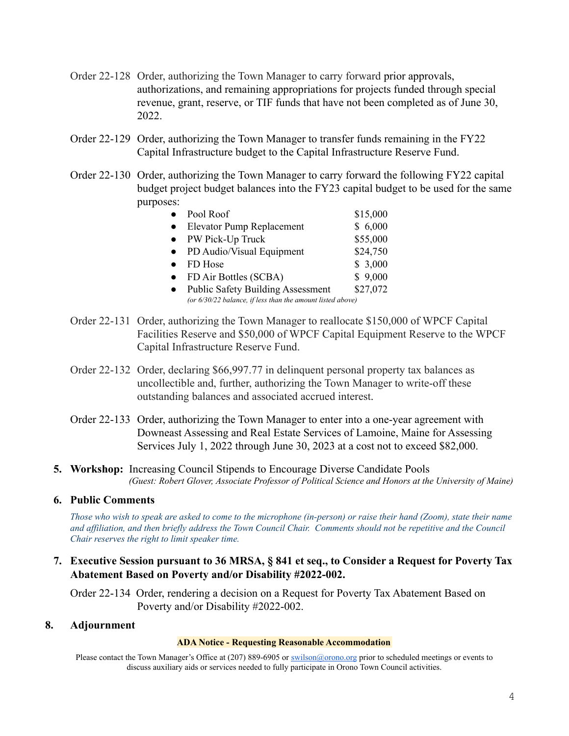- Order 22-128 Order, authorizing the Town Manager to carry forward prior approvals, authorizations, and remaining appropriations for projects funded through special revenue, grant, reserve, or TIF funds that have not been completed as of June 30, 2022.
- Order 22-129 Order, authorizing the Town Manager to transfer funds remaining in the FY22 Capital Infrastructure budget to the Capital Infrastructure Reserve Fund.
- Order 22-130 Order, authorizing the Town Manager to carry forward the following FY22 capital budget project budget balances into the FY23 capital budget to be used for the same purposes:

| $\bullet$ | Pool Roof                                                  | \$15,000 |
|-----------|------------------------------------------------------------|----------|
|           | <b>Elevator Pump Replacement</b>                           | \$6,000  |
|           | • PW Pick-Up Truck                                         | \$55,000 |
|           | PD Audio/Visual Equipment                                  | \$24,750 |
|           | FD Hose                                                    | \$3,000  |
|           | FD Air Bottles (SCBA)                                      | \$9,000  |
|           | <b>Public Safety Building Assessment</b>                   | \$27,072 |
|           | (or 6/30/22 balance, if less than the amount listed above) |          |

- Order 22-131 Order, authorizing the Town Manager to reallocate \$150,000 of WPCF Capital Facilities Reserve and \$50,000 of WPCF Capital Equipment Reserve to the WPCF Capital Infrastructure Reserve Fund.
- Order 22-132 Order, declaring \$66,997.77 in delinquent personal property tax balances as uncollectible and, further, authorizing the Town Manager to write-off these outstanding balances and associated accrued interest.
- Order 22-133 Order, authorizing the Town Manager to enter into a one-year agreement with Downeast Assessing and Real Estate Services of Lamoine, Maine for Assessing Services July 1, 2022 through June 30, 2023 at a cost not to exceed \$82,000.
- **5. Workshop:** Increasing Council Stipends to Encourage Diverse Candidate Pools *(Guest: Robert Glover, Associate Professor of Political Science and Honors at the University of Maine)*

#### **6. Public Comments**

Those who wish to speak are asked to come to the microphone (in-person) or raise their hand (Zoom), state their name and affiliation, and then briefly address the Town Council Chair. Comments should not be repetitive and the Council *Chair reserves the right to limit speaker time.*

**7. Executive Session pursuant to 36 MRSA, § 841 et seq., to Consider a Request for Poverty Tax Abatement Based on Poverty and/or Disability #2022-002.**

Order 22-134 Order, rendering a decision on a Request for Poverty Tax Abatement Based on Poverty and/or Disability #2022-002.

#### **8. Adjournment**

#### **ADA Notice - Requesting Reasonable Accommodation**

Please contact the Town Manager's Office at (207) 889-6905 or [swilson@orono.org](mailto:swilson@orono.org) prior to scheduled meetings or events to discuss auxiliary aids or services needed to fully participate in Orono Town Council activities.